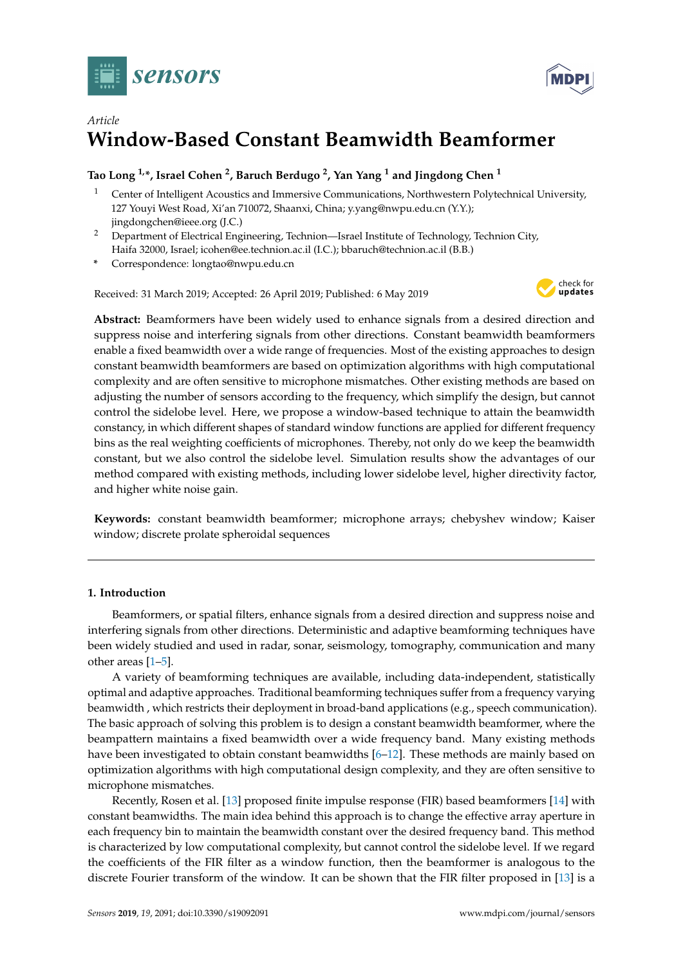



# *Article* **Window-Based Constant Beamwidth Beamformer**

# **Tao Long 1,\*, Israel Cohen <sup>2</sup> , Baruch Berdugo <sup>2</sup> , Yan Yang <sup>1</sup> and Jingdong Chen <sup>1</sup>**

- <sup>1</sup> Center of Intelligent Acoustics and Immersive Communications, Northwestern Polytechnical University, 127 Youyi West Road, Xi'an 710072, Shaanxi, China; y.yang@nwpu.edu.cn (Y.Y.); jingdongchen@ieee.org (J.C.)
- <sup>2</sup> Department of Electrical Engineering, Technion—Israel Institute of Technology, Technion City, Haifa 32000, Israel; icohen@ee.technion.ac.il (I.C.); bbaruch@technion.ac.il (B.B.)
- **\*** Correspondence: longtao@nwpu.edu.cn

Received: 31 March 2019; Accepted: 26 April 2019; Published: 6 May 2019



**Abstract:** Beamformers have been widely used to enhance signals from a desired direction and suppress noise and interfering signals from other directions. Constant beamwidth beamformers enable a fixed beamwidth over a wide range of frequencies. Most of the existing approaches to design constant beamwidth beamformers are based on optimization algorithms with high computational complexity and are often sensitive to microphone mismatches. Other existing methods are based on adjusting the number of sensors according to the frequency, which simplify the design, but cannot control the sidelobe level. Here, we propose a window-based technique to attain the beamwidth constancy, in which different shapes of standard window functions are applied for different frequency bins as the real weighting coefficients of microphones. Thereby, not only do we keep the beamwidth constant, but we also control the sidelobe level. Simulation results show the advantages of our method compared with existing methods, including lower sidelobe level, higher directivity factor, and higher white noise gain.

**Keywords:** constant beamwidth beamformer; microphone arrays; chebyshev window; Kaiser window; discrete prolate spheroidal sequences

# **1. Introduction**

Beamformers, or spatial filters, enhance signals from a desired direction and suppress noise and interfering signals from other directions. Deterministic and adaptive beamforming techniques have been widely studied and used in radar, sonar, seismology, tomography, communication and many other areas [\[1–](#page-19-0)[5\]](#page-19-1).

A variety of beamforming techniques are available, including data-independent, statistically optimal and adaptive approaches. Traditional beamforming techniques suffer from a frequency varying beamwidth , which restricts their deployment in broad-band applications (e.g., speech communication). The basic approach of solving this problem is to design a constant beamwidth beamformer, where the beampattern maintains a fixed beamwidth over a wide frequency band. Many existing methods have been investigated to obtain constant beamwidths [\[6–](#page-19-2)[12\]](#page-19-3). These methods are mainly based on optimization algorithms with high computational design complexity, and they are often sensitive to microphone mismatches.

Recently, Rosen et al. [\[13\]](#page-19-4) proposed finite impulse response (FIR) based beamformers [\[14\]](#page-19-5) with constant beamwidths. The main idea behind this approach is to change the effective array aperture in each frequency bin to maintain the beamwidth constant over the desired frequency band. This method is characterized by low computational complexity, but cannot control the sidelobe level. If we regard the coefficients of the FIR filter as a window function, then the beamformer is analogous to the discrete Fourier transform of the window. It can be shown that the FIR filter proposed in [\[13\]](#page-19-4) is a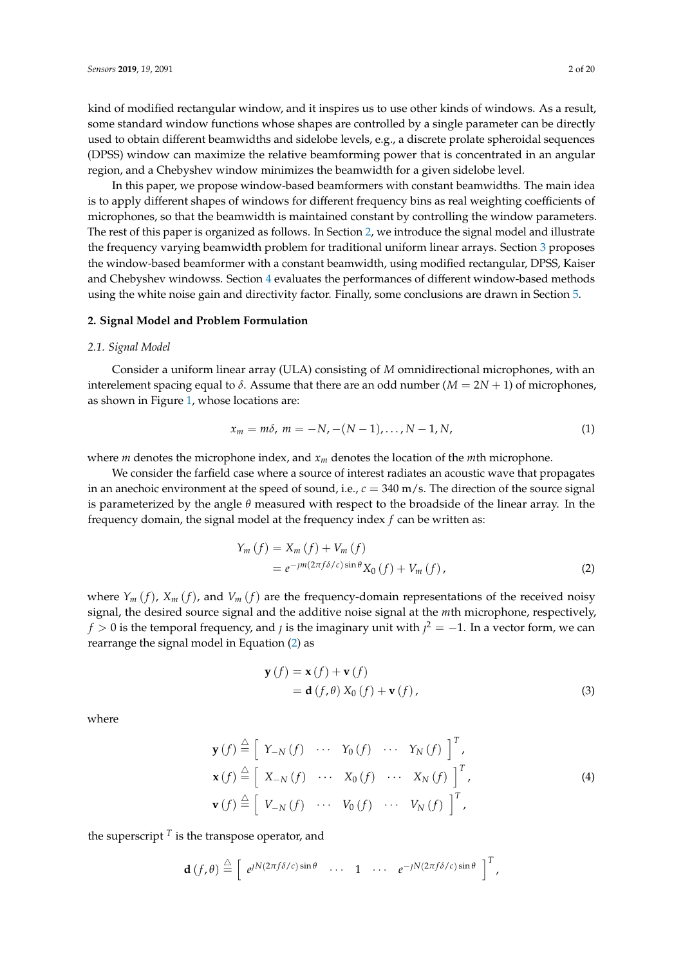kind of modified rectangular window, and it inspires us to use other kinds of windows. As a result, some standard window functions whose shapes are controlled by a single parameter can be directly used to obtain different beamwidths and sidelobe levels, e.g., a discrete prolate spheroidal sequences (DPSS) window can maximize the relative beamforming power that is concentrated in an angular region, and a Chebyshev window minimizes the beamwidth for a given sidelobe level.

In this paper, we propose window-based beamformers with constant beamwidths. The main idea is to apply different shapes of windows for different frequency bins as real weighting coefficients of microphones, so that the beamwidth is maintained constant by controlling the window parameters. The rest of this paper is organized as follows. In Section [2,](#page-1-0) we introduce the signal model and illustrate the frequency varying beamwidth problem for traditional uniform linear arrays. Section [3](#page-3-0) proposes the window-based beamformer with a constant beamwidth, using modified rectangular, DPSS, Kaiser and Chebyshev windowss. Section [4](#page-9-0) evaluates the performances of different window-based methods using the white noise gain and directivity factor. Finally, some conclusions are drawn in Section [5.](#page-18-0)

### <span id="page-1-0"></span>**2. Signal Model and Problem Formulation**

#### *2.1. Signal Model*

Consider a uniform linear array (ULA) consisting of *M* omnidirectional microphones, with an interelement spacing equal to  $\delta$ . Assume that there are an odd number ( $M = 2N + 1$ ) of microphones, as shown in Figure [1,](#page-2-0) whose locations are:

$$
x_m = m\delta, \ m = -N, -(N-1), \dots, N-1, N,
$$
 (1)

where *m* denotes the microphone index, and *x<sup>m</sup>* denotes the location of the *m*th microphone.

We consider the farfield case where a source of interest radiates an acoustic wave that propagates in an anechoic environment at the speed of sound, i.e.,  $c = 340$  m/s. The direction of the source signal is parameterized by the angle *θ* measured with respect to the broadside of the linear array. In the frequency domain, the signal model at the frequency index *f* can be written as:

$$
Y_m(f) = X_m(f) + V_m(f)
$$
  
=  $e^{-\jmath m (2\pi f \delta/c) \sin \theta} X_0(f) + V_m(f)$ , (2)

where  $Y_m(f)$ ,  $X_m(f)$ , and  $V_m(f)$  are the frequency-domain representations of the received noisy signal, the desired source signal and the additive noise signal at the *m*th microphone, respectively,  $f > 0$  is the temporal frequency, and  $j$  is the imaginary unit with  $j^2 = -1$ . In a vector form, we can rearrange the signal model in Equation [\(2\)](#page-1-1) as

<span id="page-1-1"></span>
$$
\mathbf{y}(f) = \mathbf{x}(f) + \mathbf{v}(f)
$$
  
=  $\mathbf{d}(f, \theta) X_0(f) + \mathbf{v}(f)$ , (3)

where

$$
\mathbf{y}(f) \stackrel{\triangle}{=} \left[ Y_{-N}(f) \cdots Y_{0}(f) \cdots Y_{N}(f) \right]^{T},
$$
  
\n
$$
\mathbf{x}(f) \stackrel{\triangle}{=} \left[ X_{-N}(f) \cdots X_{0}(f) \cdots X_{N}(f) \right]^{T},
$$
  
\n
$$
\mathbf{v}(f) \stackrel{\triangle}{=} \left[ V_{-N}(f) \cdots V_{0}(f) \cdots V_{N}(f) \right]^{T},
$$
  
\n(4)

the superscript  $^T$  is the transpose operator, and

$$
\mathbf{d}(f,\theta) \stackrel{\triangle}{=} \left[ e^{jN(2\pi f\delta/c)\sin\theta} \quad \cdots \quad 1 \quad \cdots \quad e^{-jN(2\pi f\delta/c)\sin\theta} \right]^T,
$$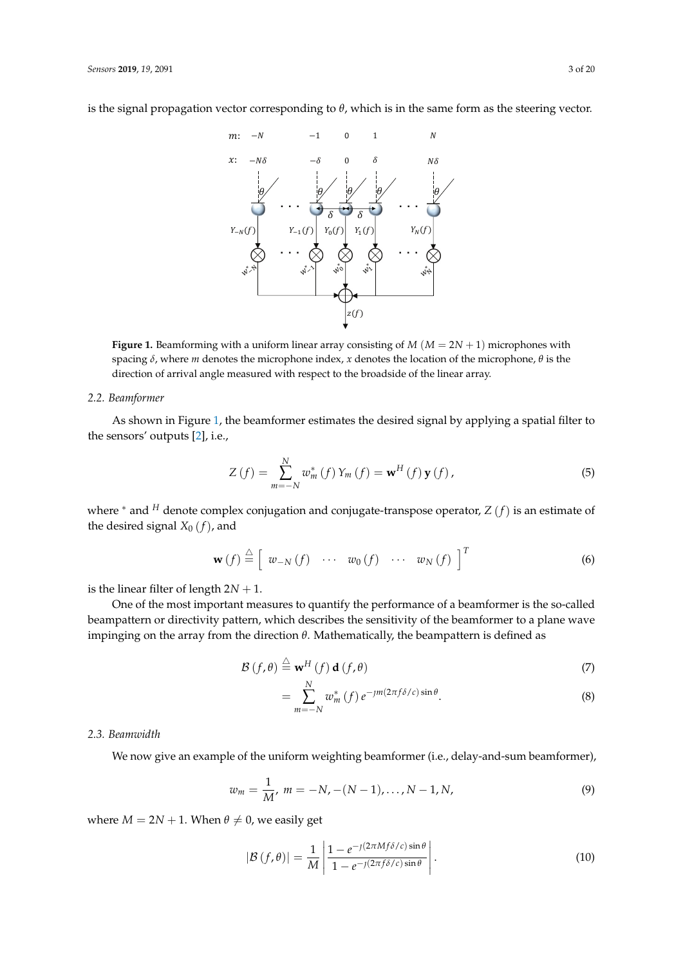<span id="page-2-0"></span>is the signal propagation vector corresponding to *θ*, which is in the same form as the steering vector.



**Figure 1.** Beamforming with a uniform linear array consisting of *M* (*M* = 2*N* + 1) microphones with spacing *δ*, where *m* denotes the microphone index, *x* denotes the location of the microphone, *θ* is the direction of arrival angle measured with respect to the broadside of the linear array.

#### *2.2. Beamformer*

As shown in Figure [1,](#page-2-0) the beamformer estimates the desired signal by applying a spatial filter to the sensors' outputs [\[2\]](#page-19-6), i.e.,

$$
Z(f) = \sum_{m=-N}^{N} w_m^* (f) Y_m (f) = \mathbf{w}^H (f) \mathbf{y} (f), \qquad (5)
$$

where <sup>∗</sup> and *<sup>H</sup>* denote complex conjugation and conjugate-transpose operator, *Z* (*f*) is an estimate of the desired signal  $X_0(f)$ , and

$$
\mathbf{w}(f) \stackrel{\triangle}{=} \left[ w_{-N}(f) \quad \cdots \quad w_0(f) \quad \cdots \quad w_N(f) \right]^T \tag{6}
$$

is the linear filter of length  $2N + 1$ .

One of the most important measures to quantify the performance of a beamformer is the so-called beampattern or directivity pattern, which describes the sensitivity of the beamformer to a plane wave impinging on the array from the direction *θ*. Mathematically, the beampattern is defined as

$$
\mathcal{B}(f,\theta) \stackrel{\triangle}{=} \mathbf{w}^H(f) \, \mathbf{d}(f,\theta) \tag{7}
$$

$$
=\sum_{m=-N}^{N} w_m^* (f) e^{-jm(2\pi f \delta/c) \sin \theta}.
$$
 (8)

# *2.3. Beamwidth*

We now give an example of the uniform weighting beamformer (i.e., delay-and-sum beamformer),

$$
w_m = \frac{1}{M}, \ m = -N, -(N-1), \dots, N-1, N,
$$
\n(9)

where  $M = 2N + 1$ . When  $\theta \neq 0$ , we easily get

$$
|\mathcal{B}(f,\theta)| = \frac{1}{M} \left| \frac{1 - e^{-j(2\pi M f \delta/c) \sin \theta}}{1 - e^{-j(2\pi f \delta/c) \sin \theta}} \right|.
$$
 (10)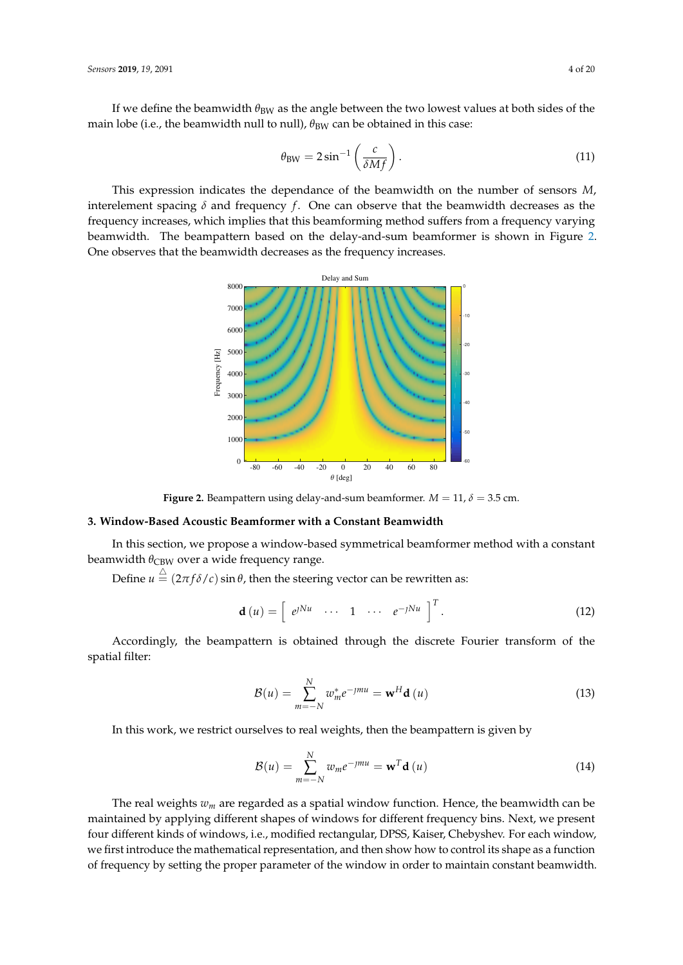If we define the beamwidth  $\theta_{BW}$  as the angle between the two lowest values at both sides of the main lobe (i.e., the beamwidth null to null),  $\theta_{BW}$  can be obtained in this case:

<span id="page-3-2"></span>
$$
\theta_{\rm BW} = 2\sin^{-1}\left(\frac{c}{\delta M f}\right). \tag{11}
$$

<span id="page-3-1"></span>This expression indicates the dependance of the beamwidth on the number of sensors *M*, interelement spacing  $\delta$  and frequency  $f$ . One can observe that the beamwidth decreases as the frequency increases, which implies that this beamforming method suffers from a frequency varying beamwidth. The beampattern based on the delay-and-sum beamformer is shown in Figure [2.](#page-3-1) One observes that the beamwidth decreases as the frequency increases.



**Figure 2.** Beampattern using delay-and-sum beamformer.  $M = 11$ ,  $\delta = 3.5$  cm.

# <span id="page-3-0"></span>**3. Window-Based Acoustic Beamformer with a Constant Beamwidth**

In this section, we propose a window-based symmetrical beamformer method with a constant beamwidth  $\theta_{\rm CBW}$  over a wide frequency range.

Define  $u \stackrel{\triangle}{=} (2\pi f \delta /c) \sin \theta$ , then the steering vector can be rewritten as:

$$
\mathbf{d}\left(u\right) = \left[\begin{array}{cccc} e^{jNu} & \cdots & 1 & \cdots & e^{-jNu} \end{array}\right]^{T}.
$$
 (12)

Accordingly, the beampattern is obtained through the discrete Fourier transform of the spatial filter:

<span id="page-3-3"></span>
$$
\mathcal{B}(u) = \sum_{m=-N}^{N} w_m^* e^{-jmu} = \mathbf{w}^H \mathbf{d}(u)
$$
\n(13)

In this work, we restrict ourselves to real weights, then the beampattern is given by

$$
\mathcal{B}(u) = \sum_{m=-N}^{N} w_m e^{-jmu} = \mathbf{w}^T \mathbf{d}(u)
$$
 (14)

The real weights *w<sup>m</sup>* are regarded as a spatial window function. Hence, the beamwidth can be maintained by applying different shapes of windows for different frequency bins. Next, we present four different kinds of windows, i.e., modified rectangular, DPSS, Kaiser, Chebyshev. For each window, we first introduce the mathematical representation, and then show how to control its shape as a function of frequency by setting the proper parameter of the window in order to maintain constant beamwidth.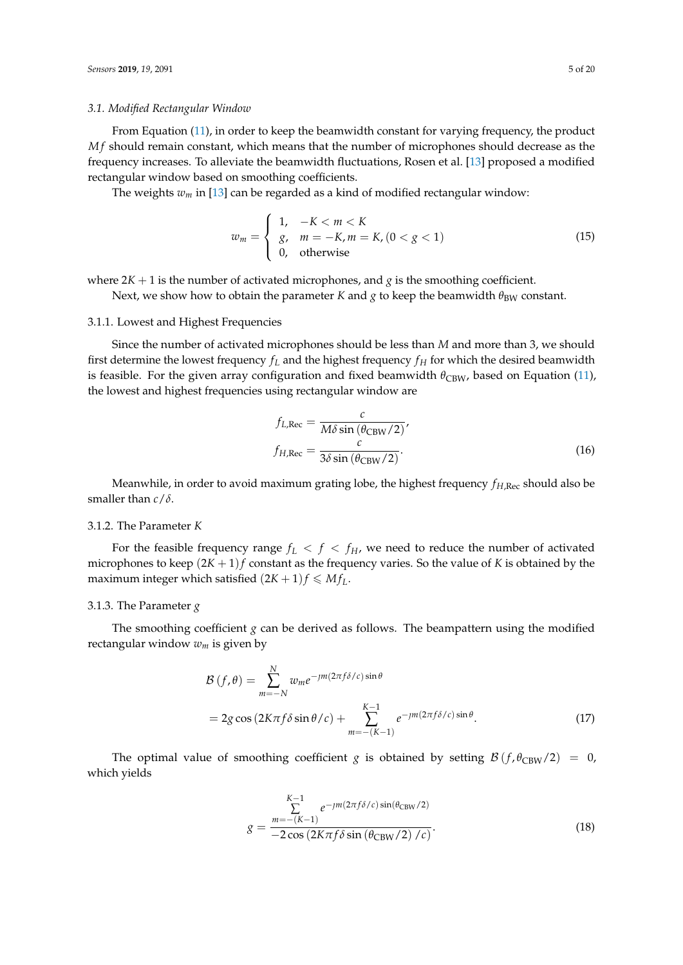### *3.1. Modified Rectangular Window*

From Equation [\(11\)](#page-3-2), in order to keep the beamwidth constant for varying frequency, the product *Mf* should remain constant, which means that the number of microphones should decrease as the frequency increases. To alleviate the beamwidth fluctuations, Rosen et al. [\[13\]](#page-19-4) proposed a modified rectangular window based on smoothing coefficients.

The weights *w<sup>m</sup>* in [\[13\]](#page-19-4) can be regarded as a kind of modified rectangular window:

$$
w_m = \begin{cases} 1, & -K < m < K \\ g, & m = -K, m = K, (0 < g < 1) \\ 0, & \text{otherwise} \end{cases}
$$
 (15)

where  $2K + 1$  is the number of activated microphones, and *g* is the smoothing coefficient.

Next, we show how to obtain the parameter *K* and *g* to keep the beamwidth  $\theta_{BW}$  constant.

### 3.1.1. Lowest and Highest Frequencies

Since the number of activated microphones should be less than *M* and more than 3, we should first determine the lowest frequency  $f_L$  and the highest frequency  $f_H$  for which the desired beamwidth is feasible. For the given array configuration and fixed beamwidth  $\theta_{\rm CBW}$ , based on Equation [\(11\)](#page-3-2), the lowest and highest frequencies using rectangular window are

$$
f_{L,Rec} = \frac{c}{M\delta \sin(\theta_{CBW}/2)},
$$
  

$$
f_{H,Rec} = \frac{c}{3\delta \sin(\theta_{CBW}/2)}.
$$
 (16)

Meanwhile, in order to avoid maximum grating lobe, the highest frequency *fH*,Rec should also be smaller than *c*/*δ*.

# 3.1.2. The Parameter *K*

For the feasible frequency range  $f_L < f < f_H$ , we need to reduce the number of activated microphones to keep  $(2K + 1)f$  constant as the frequency varies. So the value of *K* is obtained by the maximum integer which satisfied  $(2K + 1)f \leq Mf_L$ .

### 3.1.3. The Parameter *g*

The smoothing coefficient *g* can be derived as follows. The beampattern using the modified rectangular window *w<sup>m</sup>* is given by

$$
\mathcal{B}(f,\theta) = \sum_{m=-N}^{N} w_m e^{-jm(2\pi f \delta/c) \sin \theta}
$$
  
= 2g cos (2K $\pi f \delta \sin \theta/c$ ) + 
$$
\sum_{m=-(K-1)}^{K-1} e^{-jm(2\pi f \delta/c) \sin \theta}.
$$
 (17)

The optimal value of smoothing coefficient *g* is obtained by setting  $\mathcal{B}(f, \theta_{\text{CBW}}/2) = 0$ , which yields

$$
g = \frac{\sum_{m=- (K-1)}^{K-1} e^{-\jmath m (2\pi f \delta/c) \sin(\theta_{\rm CBW}/2)}}{-2 \cos(2K\pi f \delta \sin(\theta_{\rm CBW}/2) / c)}.
$$
(18)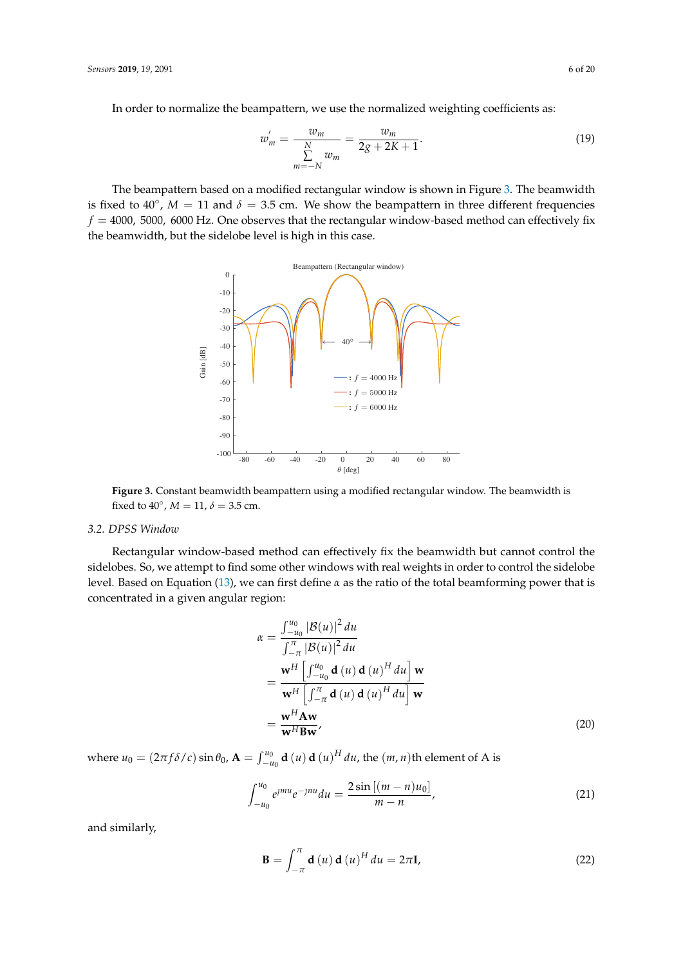In order to normalize the beampattern, we use the normalized weighting coefficients as:

$$
w'_{m} = \frac{w_{m}}{\sum\limits_{m=-N}^{N} w_{m}} = \frac{w_{m}}{2g + 2K + 1}.
$$
 (19)

<span id="page-5-0"></span>The beampattern based on a modified rectangular window is shown in Figure [3.](#page-5-0) The beamwidth is fixed to  $40^{\circ}$ ,  $M = 11$  and  $\delta = 3.5$  cm. We show the beampattern in three different frequencies  $f = 4000$ , 5000, 6000 Hz. One observes that the rectangular window-based method can effectively fix the beamwidth, but the sidelobe level is high in this case.



**Figure 3.** Constant beamwidth beampattern using a modified rectangular window. The beamwidth is fixed to  $40^{\circ}$ ,  $M = 11$ ,  $\delta = 3.5$  cm.

### *3.2. DPSS Window*

Rectangular window-based method can effectively fix the beamwidth but cannot control the sidelobes. So, we attempt to find some other windows with real weights in order to control the sidelobe level. Based on Equation [\(13\)](#page-3-3), we can first define *α* as the ratio of the total beamforming power that is concentrated in a given angular region:

$$
\alpha = \frac{\int_{-u_0}^{u_0} |\mathcal{B}(u)|^2 du}{\int_{-\pi}^{\pi} |\mathcal{B}(u)|^2 du}
$$
  
= 
$$
\frac{\mathbf{w}^H \left[ \int_{-u_0}^{u_0} \mathbf{d}(u) \mathbf{d}(u)^H du \right] \mathbf{w}}{\mathbf{w}^H \left[ \int_{-\pi}^{\pi} \mathbf{d}(u) \mathbf{d}(u)^H du \right] \mathbf{w}}
$$
  
= 
$$
\frac{\mathbf{w}^H \mathbf{A} \mathbf{w}}{\mathbf{w}^H \mathbf{B} \mathbf{w}},
$$
(20)

where  $u_0 = (2\pi f \delta/c) \sin \theta_0$ ,  $\mathbf{A} = \int_{-u_0}^{u_0} \mathbf{d}(u) \mathbf{d}(u)^H du$ , the  $(m, n)$ th element of A is

$$
\int_{-u_0}^{u_0} e^{jmu} e^{-jnu} du = \frac{2 \sin [(m-n)u_0]}{m-n}, \qquad (21)
$$

and similarly,

$$
\mathbf{B} = \int_{-\pi}^{\pi} \mathbf{d}(u) \mathbf{d}(u)^{H} du = 2\pi \mathbf{I},
$$
 (22)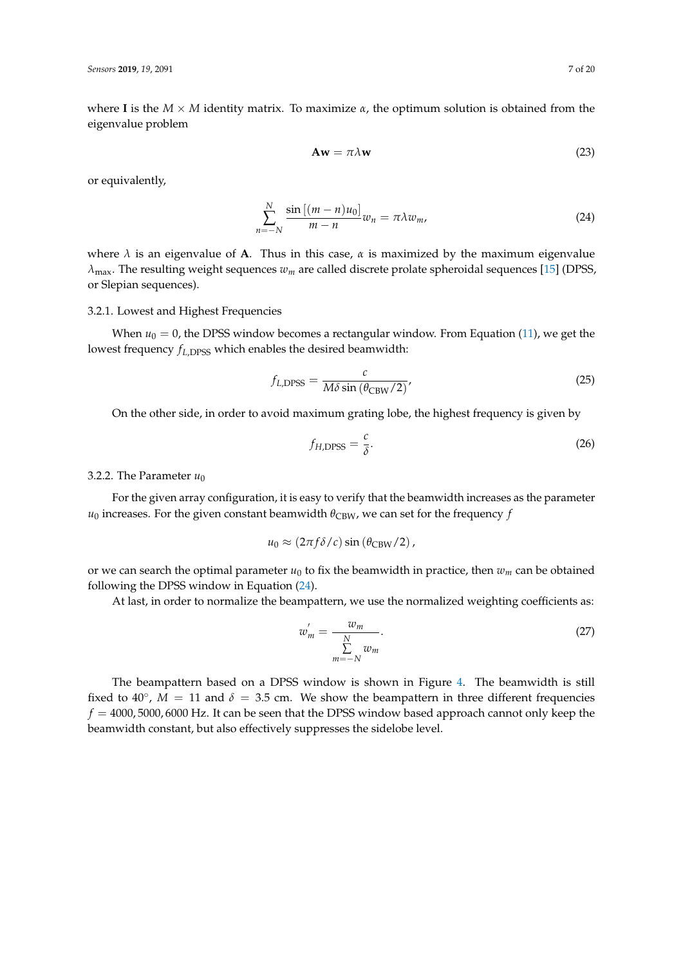where **I** is the  $M \times M$  identity matrix. To maximize  $\alpha$ , the optimum solution is obtained from the eigenvalue problem

<span id="page-6-0"></span>
$$
\mathbf{A}\mathbf{w} = \pi \lambda \mathbf{w} \tag{23}
$$

or equivalently,

$$
\sum_{n=-N}^{N} \frac{\sin\left[(m-n)u_0\right]}{m-n} w_n = \pi \lambda w_m,
$$
\n(24)

where  $\lambda$  is an eigenvalue of **A**. Thus in this case,  $\alpha$  is maximized by the maximum eigenvalue *λ*max. The resulting weight sequences *w<sup>m</sup>* are called discrete prolate spheroidal sequences [\[15\]](#page-19-7) (DPSS, or Slepian sequences).

### 3.2.1. Lowest and Highest Frequencies

When  $u_0 = 0$ , the DPSS window becomes a rectangular window. From Equation [\(11\)](#page-3-2), we get the lowest frequency  $f_{L,DPSS}$  which enables the desired beamwidth:

$$
f_{L,\text{DPSS}} = \frac{c}{M\delta\sin\left(\theta_{\text{CBW}}/2\right)}\tag{25}
$$

On the other side, in order to avoid maximum grating lobe, the highest frequency is given by

<span id="page-6-2"></span><span id="page-6-1"></span>
$$
f_{H,\text{DPSS}} = \frac{c}{\delta}.\tag{26}
$$

## 3.2.2. The Parameter  $u_0$

For the given array configuration, it is easy to verify that the beamwidth increases as the parameter  $u_0$  increases. For the given constant beamwidth  $\theta_{CBW}$ , we can set for the frequency *f* 

$$
u_0 \approx (2\pi f \delta/c) \sin (\theta_{\rm CBW}/2),
$$

or we can search the optimal parameter  $u_0$  to fix the beamwidth in practice, then  $w_m$  can be obtained following the DPSS window in Equation [\(24\)](#page-6-0).

At last, in order to normalize the beampattern, we use the normalized weighting coefficients as:

$$
w'_m = \frac{w_m}{\sum\limits_{m=-N}^{N} w_m}.
$$
\n(27)

The beampattern based on a DPSS window is shown in Figure [4.](#page-7-0) The beamwidth is still fixed to 40°,  $M = 11$  and  $\delta = 3.5$  cm. We show the beampattern in three different frequencies  $f = 4000, 5000, 6000$  Hz. It can be seen that the DPSS window based approach cannot only keep the beamwidth constant, but also effectively suppresses the sidelobe level.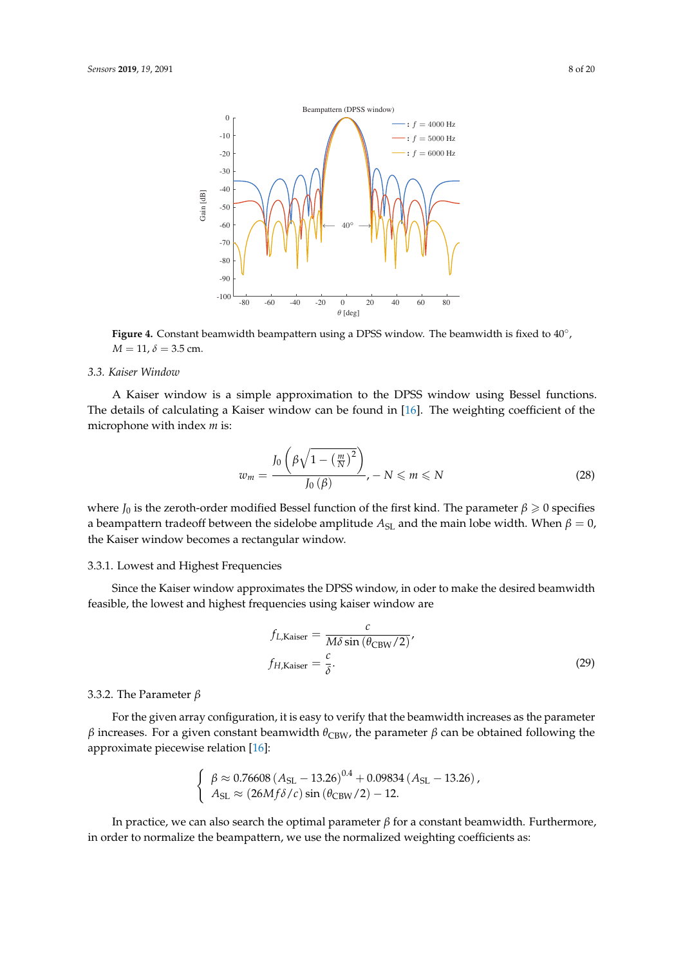<span id="page-7-0"></span>

Figure 4. Constant beamwidth beampattern using a DPSS window. The beamwidth is fixed to 40<sup>°</sup>,  $M = 11, \delta = 3.5$  cm.

## *3.3. Kaiser Window*

A Kaiser window is a simple approximation to the DPSS window using Bessel functions. The details of calculating a Kaiser window can be found in [\[16\]](#page-19-8). The weighting coefficient of the microphone with index *m* is:

$$
w_m = \frac{J_0\left(\beta\sqrt{1 - \left(\frac{m}{N}\right)^2}\right)}{J_0\left(\beta\right)}, -N \leqslant m \leqslant N \tag{28}
$$

where *J*<sub>0</sub> is the zeroth-order modified Bessel function of the first kind. The parameter  $\beta \geq 0$  specifies a beampattern tradeoff between the sidelobe amplitude  $A_{SL}$  and the main lobe width. When  $\beta = 0$ , the Kaiser window becomes a rectangular window.

### 3.3.1. Lowest and Highest Frequencies

Since the Kaiser window approximates the DPSS window, in oder to make the desired beamwidth feasible, the lowest and highest frequencies using kaiser window are

$$
f_{L,\text{Kaiser}} = \frac{c}{M\delta\sin\left(\theta_{\text{CBW}}/2\right)},
$$
  

$$
f_{H,\text{Kaiser}} = \frac{c}{\delta}.
$$
 (29)

# 3.3.2. The Parameter *β*

For the given array configuration, it is easy to verify that the beamwidth increases as the parameter *β* increases. For a given constant beamwidth  $θ_{CBW}$ , the parameter *β* can be obtained following the approximate piecewise relation [\[16\]](#page-19-8):

$$
\begin{cases} \beta \approx 0.76608 (A_{\rm SL} - 13.26)^{0.4} + 0.09834 (A_{\rm SL} - 13.26), \\ A_{\rm SL} \approx (26M f \delta / c) \sin (\theta_{\rm CBW} / 2) - 12. \end{cases}
$$

In practice, we can also search the optimal parameter  $\beta$  for a constant beamwidth. Furthermore, in order to normalize the beampattern, we use the normalized weighting coefficients as: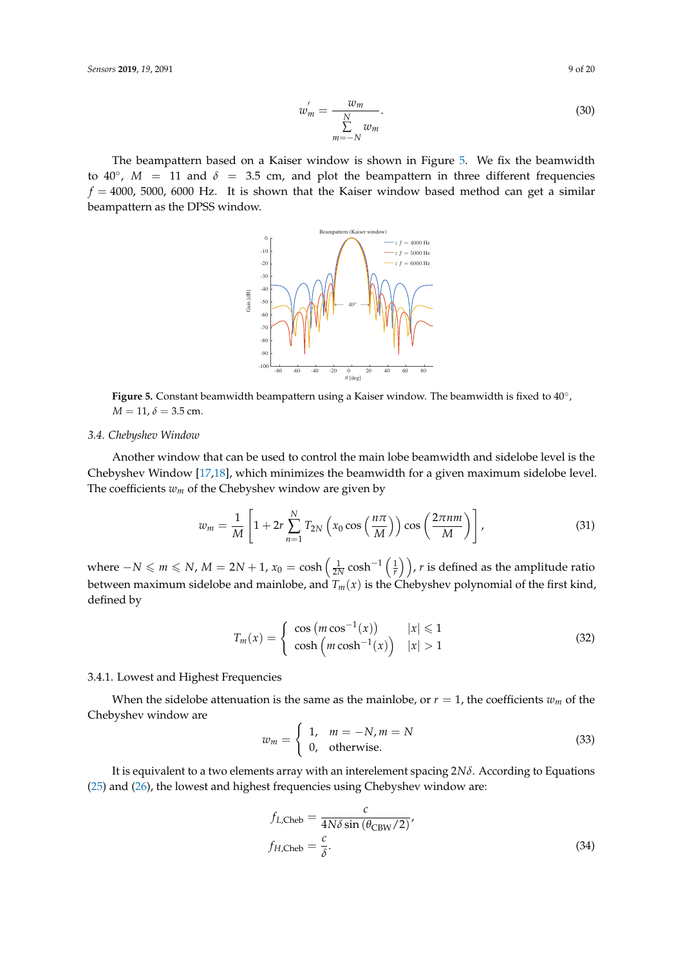$$
w'_m = \frac{w_m}{\sum\limits_{m=-N}^{N} w_m}.
$$
\n(30)

<span id="page-8-0"></span>The beampattern based on a Kaiser window is shown in Figure [5.](#page-8-0) We fix the beamwidth to  $40^\circ$ ,  $M = 11$  and  $\delta = 3.5$  cm, and plot the beampattern in three different frequencies  $f = 4000$ , 5000, 6000 Hz. It is shown that the Kaiser window based method can get a similar beampattern as the DPSS window.



Figure 5. Constant beamwidth beampattern using a Kaiser window. The beamwidth is fixed to 40<sup>°</sup>,  $M = 11, \delta = 3.5$  cm.

# *3.4. Chebyshev Window*

Another window that can be used to control the main lobe beamwidth and sidelobe level is the Chebyshev Window [\[17,](#page-19-9)[18\]](#page-19-10), which minimizes the beamwidth for a given maximum sidelobe level. The coefficients  $w_m$  of the Chebyshev window are given by

$$
w_m = \frac{1}{M} \left[ 1 + 2r \sum_{n=1}^{N} T_{2N} \left( x_0 \cos \left( \frac{n \pi}{M} \right) \right) \cos \left( \frac{2 \pi n m}{M} \right) \right],
$$
 (31)

where  $-N \leqslant m \leqslant N$ ,  $M = 2N + 1$ ,  $x_0 = \cosh\left(\frac{1}{2N}\cosh^{-1}\left(\frac{1}{r}\right)\right)$ , *r* is defined as the amplitude ratio between maximum sidelobe and mainlobe, and  $T_m(x)$  is the Chebyshev polynomial of the first kind, defined by

$$
T_m(x) = \begin{cases} \cos\left(m\cos^{-1}(x)\right) & |x| \leq 1\\ \cosh\left(m\cosh^{-1}(x)\right) & |x| > 1 \end{cases} \tag{32}
$$

#### 3.4.1. Lowest and Highest Frequencies

When the sidelobe attenuation is the same as the mainlobe, or  $r = 1$ , the coefficients  $w_m$  of the Chebyshev window are

$$
w_m = \begin{cases} 1, & m = -N, m = N \\ 0, & \text{otherwise.} \end{cases}
$$
 (33)

It is equivalent to a two elements array with an interelement spacing 2*Nδ*. According to Equations [\(25\)](#page-6-1) and [\(26\)](#page-6-2), the lowest and highest frequencies using Chebyshev window are:

$$
f_{L,\text{Cheb}} = \frac{c}{4N\delta\sin\left(\theta_{\text{CBW}}/2\right)},
$$
  

$$
f_{H,\text{Cheb}} = \frac{c}{\delta}.
$$
 (34)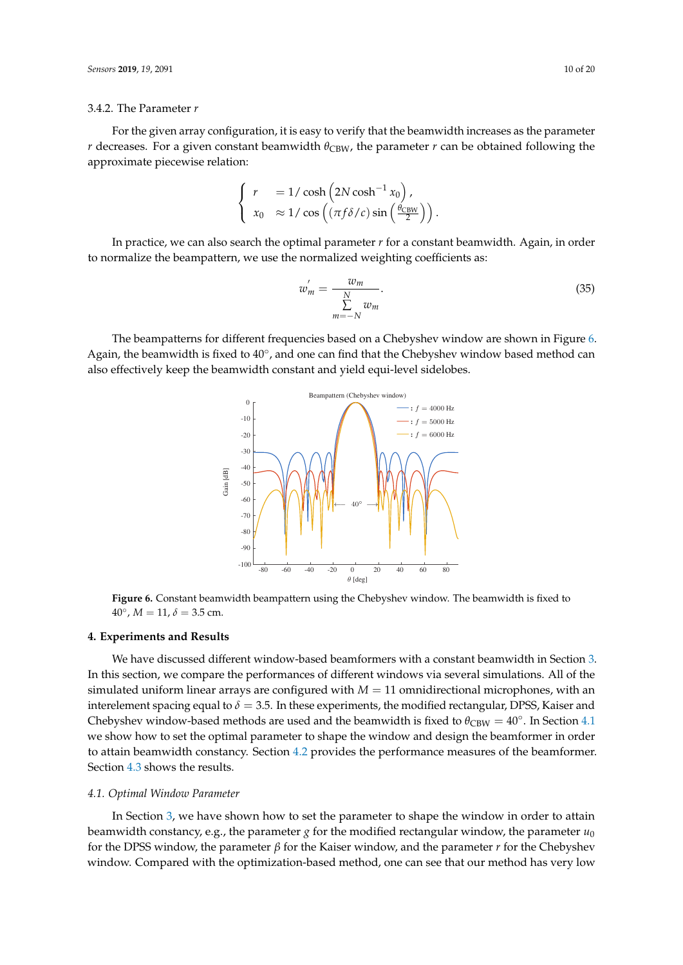### 3.4.2. The Parameter *r*

For the given array configuration, it is easy to verify that the beamwidth increases as the parameter *r* decreases. For a given constant beamwidth  $\theta_{CBW}$ , the parameter *r* can be obtained following the approximate piecewise relation:

$$
\begin{cases}\nr &= 1/\cosh\left(2N\cosh^{-1}x_0\right), \\
x_0 & \approx 1/\cos\left(\left(\frac{\pi f \delta}{c}\right)\sin\left(\frac{\theta_{\text{CBW}}}{2}\right)\right).\n\end{cases}
$$

In practice, we can also search the optimal parameter *r* for a constant beamwidth. Again, in order to normalize the beampattern, we use the normalized weighting coefficients as:

$$
w'_m = \frac{w_m}{\sum\limits_{m=-N}^{N} w_m}.
$$
\n(35)

<span id="page-9-1"></span>The beampatterns for different frequencies based on a Chebyshev window are shown in Figure [6.](#page-9-1) Again, the beamwidth is fixed to 40°, and one can find that the Chebyshev window based method can also effectively keep the beamwidth constant and yield equi-level sidelobes.



**Figure 6.** Constant beamwidth beampattern using the Chebyshev window. The beamwidth is fixed to  $40^{\circ}$ ,  $M = 11$ ,  $\delta = 3.5$  cm.

#### <span id="page-9-0"></span>**4. Experiments and Results**

We have discussed different window-based beamformers with a constant beamwidth in Section [3.](#page-3-0) In this section, we compare the performances of different windows via several simulations. All of the simulated uniform linear arrays are configured with  $M = 11$  omnidirectional microphones, with an interelement spacing equal to  $\delta = 3.5$ . In these experiments, the modified rectangular, DPSS, Kaiser and Chebyshev window-based methods are used and the beamwidth is fixed to  $\theta_{CBW} = 40^\circ$ . In Section [4.1](#page-9-2) we show how to set the optimal parameter to shape the window and design the beamformer in order to attain beamwidth constancy. Section [4.2](#page-10-0) provides the performance measures of the beamformer. Section [4.3](#page-10-1) shows the results.

### <span id="page-9-2"></span>*4.1. Optimal Window Parameter*

In Section [3,](#page-3-0) we have shown how to set the parameter to shape the window in order to attain beamwidth constancy, e.g., the parameter *g* for the modified rectangular window, the parameter  $u_0$ for the DPSS window, the parameter *β* for the Kaiser window, and the parameter *r* for the Chebyshev window. Compared with the optimization-based method, one can see that our method has very low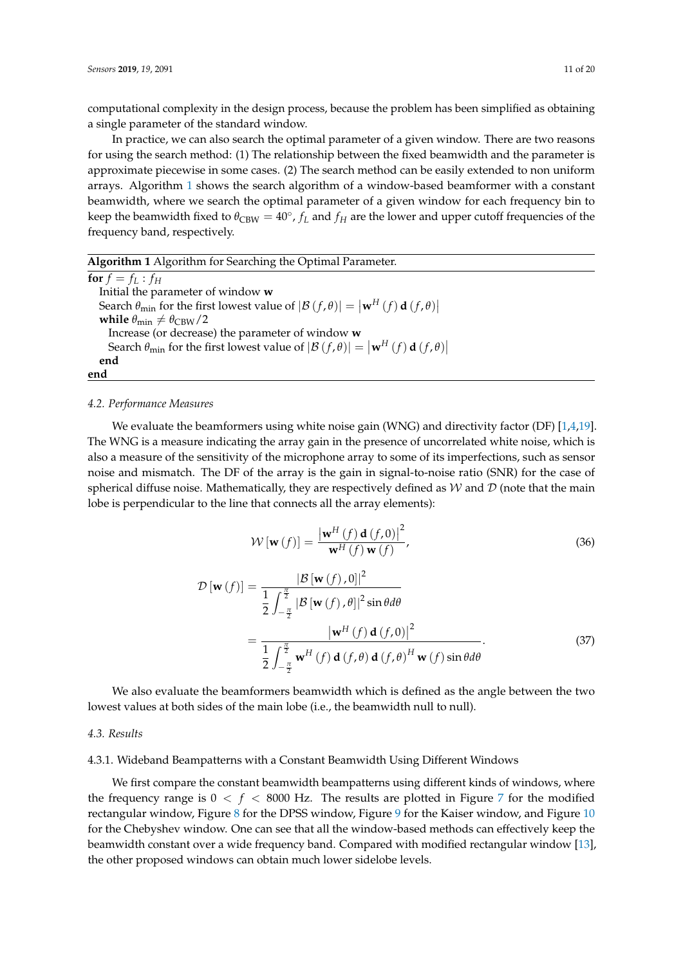computational complexity in the design process, because the problem has been simplified as obtaining a single parameter of the standard window.

In practice, we can also search the optimal parameter of a given window. There are two reasons for using the search method: (1) The relationship between the fixed beamwidth and the parameter is approximate piecewise in some cases. (2) The search method can be easily extended to non uniform arrays. Algorithm [1](#page-10-2) shows the search algorithm of a window-based beamformer with a constant beamwidth, where we search the optimal parameter of a given window for each frequency bin to keep the beamwidth fixed to  $\theta_{\text{CBW}} = 40^{\circ}$ ,  $f_L$  and  $f_H$  are the lower and upper cutoff frequencies of the frequency band, respectively.

<span id="page-10-2"></span>

| Algorithm 1 Algorithm for Searching the Optimal Parameter.                                                              |
|-------------------------------------------------------------------------------------------------------------------------|
| for $f = f_L : f_H$                                                                                                     |
| Initial the parameter of window w                                                                                       |
| Search $\theta_{\min}$ for the first lowest value of $ \mathcal{B}(f,\theta)  =  \mathbf{w}^H(f) \mathbf{d}(f,\theta) $ |
| while $\theta_{\min} \neq \theta_{\text{CBW}}/2$                                                                        |
| Increase (or decrease) the parameter of window w                                                                        |
| Search $\theta_{\min}$ for the first lowest value of $ \mathcal{B}(f,\theta)  =  \mathbf{w}^H(f) \mathbf{d}(f,\theta) $ |
| end                                                                                                                     |
| end                                                                                                                     |

#### <span id="page-10-0"></span>*4.2. Performance Measures*

We evaluate the beamformers using white noise gain (WNG) and directivity factor (DF)  $[1,4,19]$  $[1,4,19]$  $[1,4,19]$ . The WNG is a measure indicating the array gain in the presence of uncorrelated white noise, which is also a measure of the sensitivity of the microphone array to some of its imperfections, such as sensor noise and mismatch. The DF of the array is the gain in signal-to-noise ratio (SNR) for the case of spherical diffuse noise. Mathematically, they are respectively defined as  $W$  and  $D$  (note that the main lobe is perpendicular to the line that connects all the array elements):

$$
\mathcal{W}\left[\mathbf{w}\left(f\right)\right] = \frac{\left|\mathbf{w}^{H}\left(f\right)\mathbf{d}\left(f,0\right)\right|^{2}}{\mathbf{w}^{H}\left(f\right)\mathbf{w}\left(f\right)},\tag{36}
$$

$$
\mathcal{D}\left[\mathbf{w}\left(f\right)\right] = \frac{|\mathcal{B}\left[\mathbf{w}\left(f\right),0\right]|^2}{\frac{1}{2}\int_{-\frac{\pi}{2}}^{\frac{\pi}{2}}|\mathcal{B}\left[\mathbf{w}\left(f\right),\theta\right]|^2\sin\theta d\theta} = \frac{|\mathbf{w}^H\left(f\right)\mathbf{d}\left(f,0\right)|^2}{\frac{1}{2}\int_{-\frac{\pi}{2}}^{\frac{\pi}{2}}\mathbf{w}^H\left(f\right)\mathbf{d}\left(f,\theta\right)\mathbf{d}\left(f,\theta\right)^H\mathbf{w}\left(f\right)\sin\theta d\theta}.
$$
\n(37)

We also evaluate the beamformers beamwidth which is defined as the angle between the two lowest values at both sides of the main lobe (i.e., the beamwidth null to null).

## <span id="page-10-1"></span>*4.3. Results*

### 4.3.1. Wideband Beampatterns with a Constant Beamwidth Using Different Windows

We first compare the constant beamwidth beampatterns using different kinds of windows, where the frequency range is  $0 < f < 8000$  Hz. The results are plotted in Figure [7](#page-11-0) for the modified rectangular window, Figure [8](#page-12-0) for the DPSS window, Figure [9](#page-13-0) for the Kaiser window, and Figure [10](#page-14-0) for the Chebyshev window. One can see that all the window-based methods can effectively keep the beamwidth constant over a wide frequency band. Compared with modified rectangular window [\[13\]](#page-19-4), the other proposed windows can obtain much lower sidelobe levels.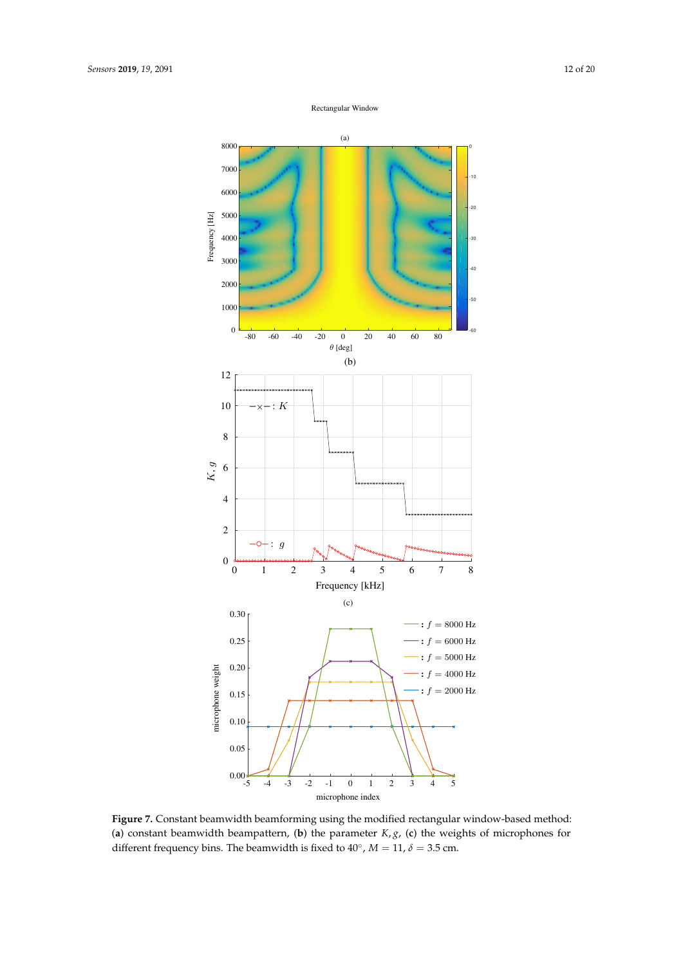Rectangular Window

<span id="page-11-0"></span>

**Figure 7.** Constant beamwidth beamforming using the modified rectangular window-based method: (**a**) constant beamwidth beampattern, (**b**) the parameter *K*, *g*, (**c**) the weights of microphones for different frequency bins. The beamwidth is fixed to  $40^{\circ}$ ,  $M = 11$ ,  $\delta = 3.5$  cm.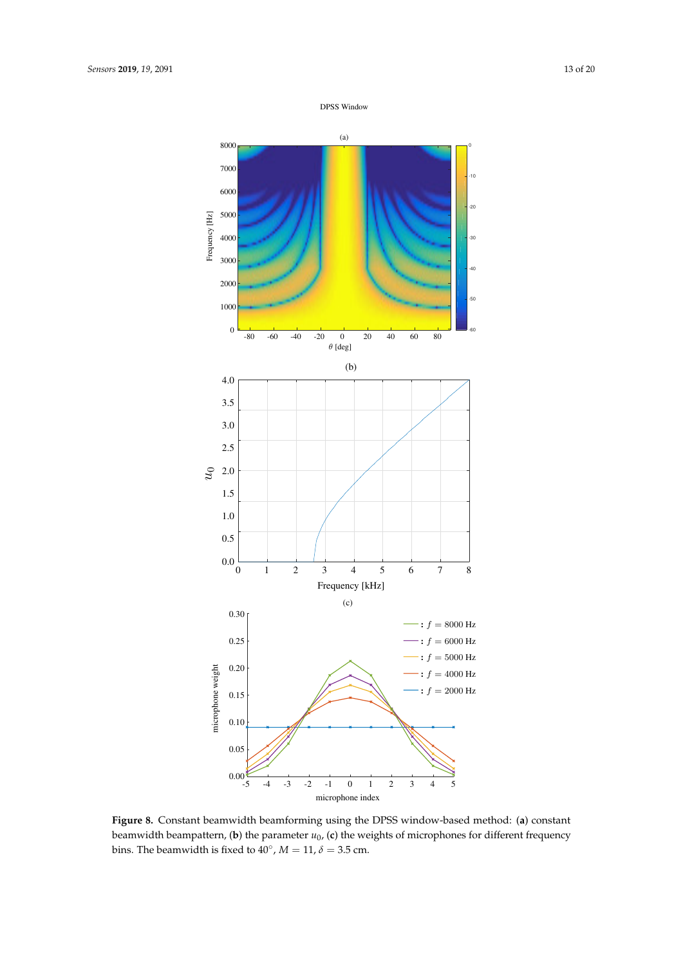

<span id="page-12-0"></span>

**Figure 8.** Constant beamwidth beamforming using the DPSS window-based method: (**a**) constant beamwidth beampattern,  $(b)$  the parameter  $u_0$ ,  $(c)$  the weights of microphones for different frequency bins. The beamwidth is fixed to  $40^{\circ}$ ,  $M = 11$ ,  $\delta = 3.5$  cm.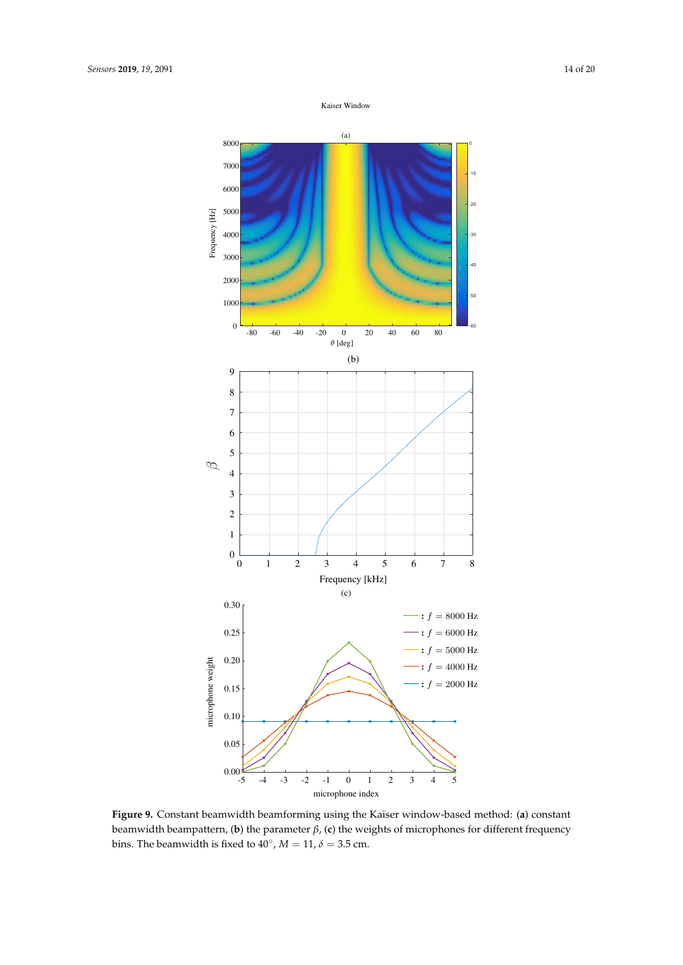

<span id="page-13-0"></span>

**Figure 9.** Constant beamwidth beamforming using the Kaiser window-based method: (**a**) constant beamwidth beampattern, (**b**) the parameter *β*, (**c**) the weights of microphones for different frequency bins. The beamwidth is fixed to  $40^{\circ}$ ,  $M = 11$ ,  $\delta = 3.5$  cm.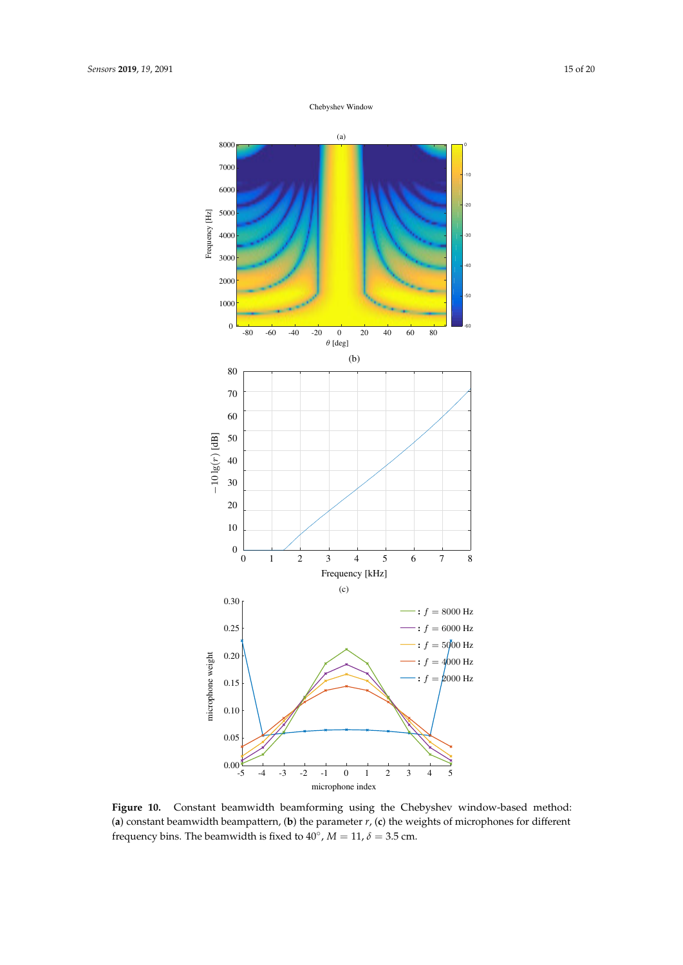Chebyshev Window

<span id="page-14-0"></span>

**Figure 10.** Constant beamwidth beamforming using the Chebyshev window-based method: (**a**) constant beamwidth beampattern, (**b**) the parameter *r*, (**c**) the weights of microphones for different frequency bins. The beamwidth is fixed to  $40^{\circ}$ ,  $M = 11$ ,  $\delta = 3.5$  cm.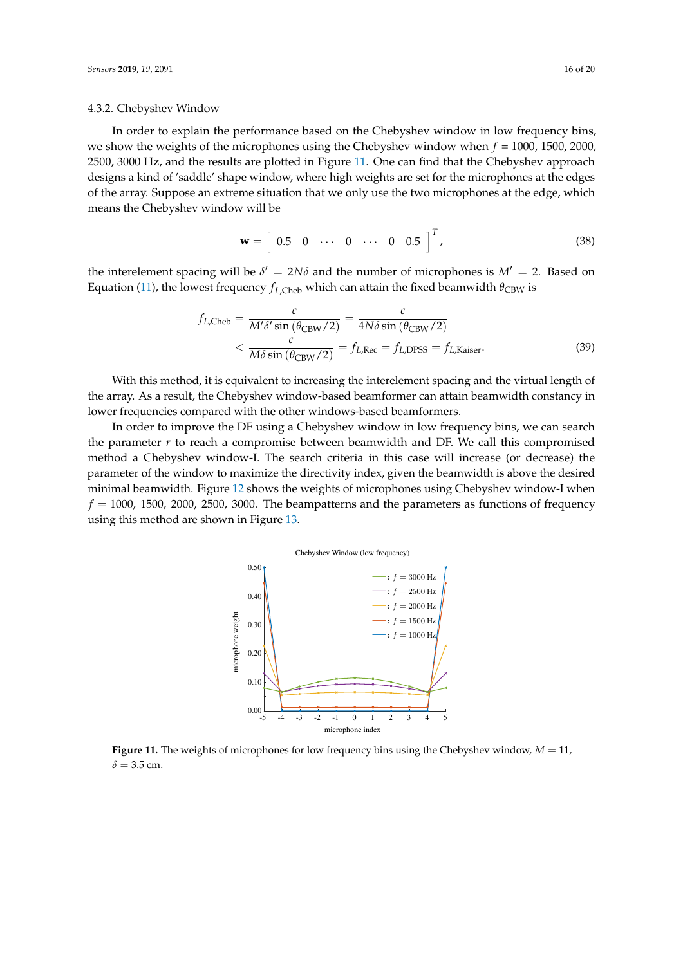#### 4.3.2. Chebyshev Window

In order to explain the performance based on the Chebyshev window in low frequency bins, we show the weights of the microphones using the Chebyshev window when *f* = 1000, 1500, 2000, 2500, 3000 Hz, and the results are plotted in Figure [11.](#page-15-0) One can find that the Chebyshev approach designs a kind of 'saddle' shape window, where high weights are set for the microphones at the edges of the array. Suppose an extreme situation that we only use the two microphones at the edge, which means the Chebyshev window will be

$$
\mathbf{w} = \left[ \begin{array}{cccc} 0.5 & 0 & \cdots & 0 & \cdots & 0 & 0.5 \end{array} \right]^T, \tag{38}
$$

the interelement spacing will be  $\delta' = 2N\delta$  and the number of microphones is  $M' = 2$ . Based on Equation [\(11\)](#page-3-2), the lowest frequency  $f$ <sub>*L*,Cheb</sub> which can attain the fixed beamwidth  $θ$ <sub>CBW</sub> is

$$
f_{L,Cheb} = \frac{c}{M'\delta' \sin(\theta_{CBW}/2)} = \frac{c}{4N\delta \sin(\theta_{CBW}/2)}
$$
  

$$
< \frac{c}{M\delta \sin(\theta_{CBW}/2)} = f_{L,Rec} = f_{L,DPSS} = f_{L,Kaiser}.
$$
 (39)

With this method, it is equivalent to increasing the interelement spacing and the virtual length of the array. As a result, the Chebyshev window-based beamformer can attain beamwidth constancy in lower frequencies compared with the other windows-based beamformers.

<span id="page-15-0"></span>In order to improve the DF using a Chebyshev window in low frequency bins, we can search the parameter *r* to reach a compromise between beamwidth and DF. We call this compromised method a Chebyshev window-I. The search criteria in this case will increase (or decrease) the parameter of the window to maximize the directivity index, given the beamwidth is above the desired minimal beamwidth. Figure [12](#page-16-0) shows the weights of microphones using Chebyshev window-I when  $f = 1000$ , 1500, 2000, 2500, 3000. The beampatterns and the parameters as functions of frequency using this method are shown in Figure [13.](#page-17-0)



**Figure 11.** The weights of microphones for low frequency bins using the Chebyshev window, *M* = 11,  $\delta$  = 3.5 cm.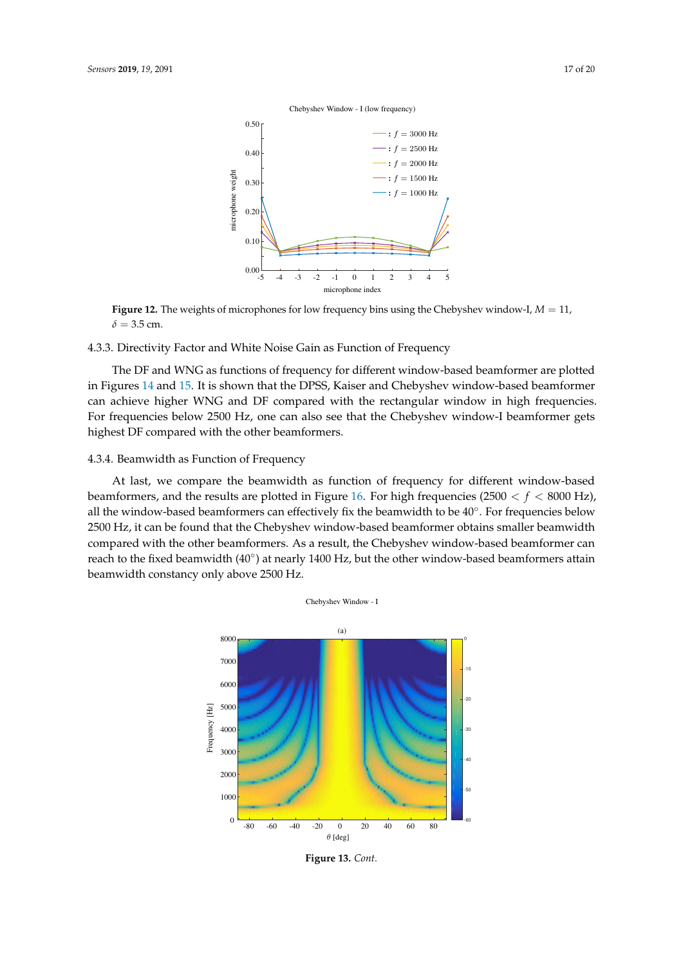<span id="page-16-0"></span>

**Figure 12.** The weights of microphones for low frequency bins using the Chebyshev window-I, *M* = 11,  $\delta = 3.5$  cm.

# 4.3.3. Directivity Factor and White Noise Gain as Function of Frequency

The DF and WNG as functions of frequency for different window-based beamformer are plotted in Figures [14](#page-17-1) and [15.](#page-18-1) It is shown that the DPSS, Kaiser and Chebyshev window-based beamformer can achieve higher WNG and DF compared with the rectangular window in high frequencies. For frequencies below 2500 Hz, one can also see that the Chebyshev window-I beamformer gets highest DF compared with the other beamformers.

## 4.3.4. Beamwidth as Function of Frequency

At last, we compare the beamwidth as function of frequency for different window-based beamformers, and the results are plotted in Figure [16.](#page-18-2) For high frequencies  $(2500 < f < 8000 \text{ Hz})$ , all the window-based beamformers can effectively fix the beamwidth to be 40°. For frequencies below 2500 Hz, it can be found that the Chebyshev window-based beamformer obtains smaller beamwidth compared with the other beamformers. As a result, the Chebyshev window-based beamformer can reach to the fixed beamwidth (40°) at nearly 1400 Hz, but the other window-based beamformers attain beamwidth constancy only above 2500 Hz.



**Figure 13.** *Cont.*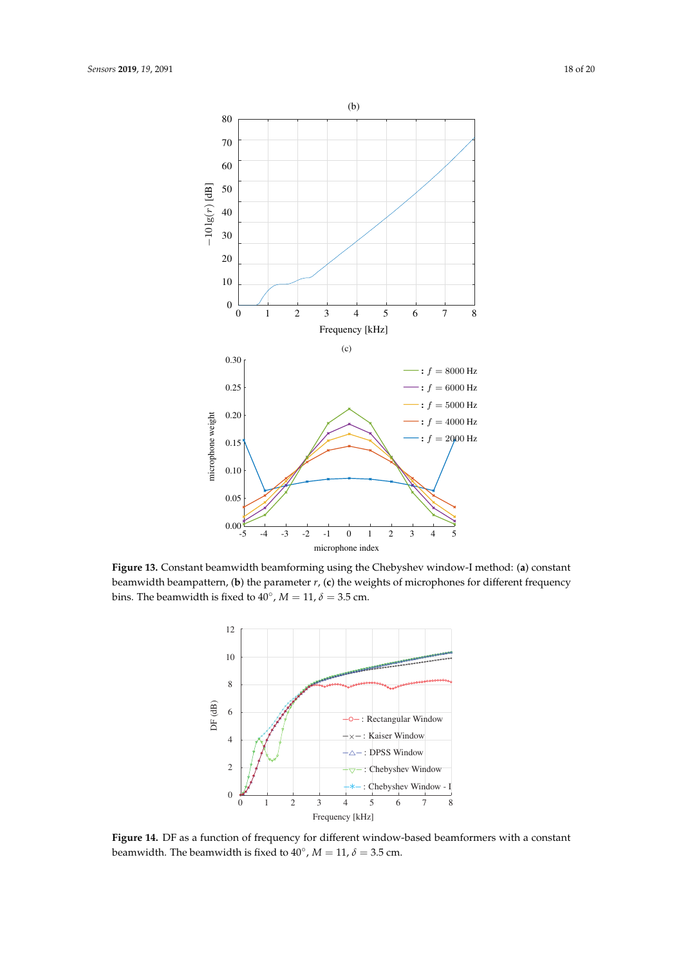<span id="page-17-0"></span>

<span id="page-17-1"></span>**Figure 13.** Constant beamwidth beamforming using the Chebyshev window-I method: (**a**) constant beamwidth beampattern, (**b**) the parameter *r*, (**c**) the weights of microphones for different frequency bins. The beamwidth is fixed to  $40^{\circ}$ ,  $M = 11$ ,  $\delta = 3.5$  cm.



**Figure 14.** DF as a function of frequency for different window-based beamformers with a constant beamwidth. The beamwidth is fixed to  $40^{\circ}$ ,  $M = 11$ ,  $\delta = 3.5$  cm.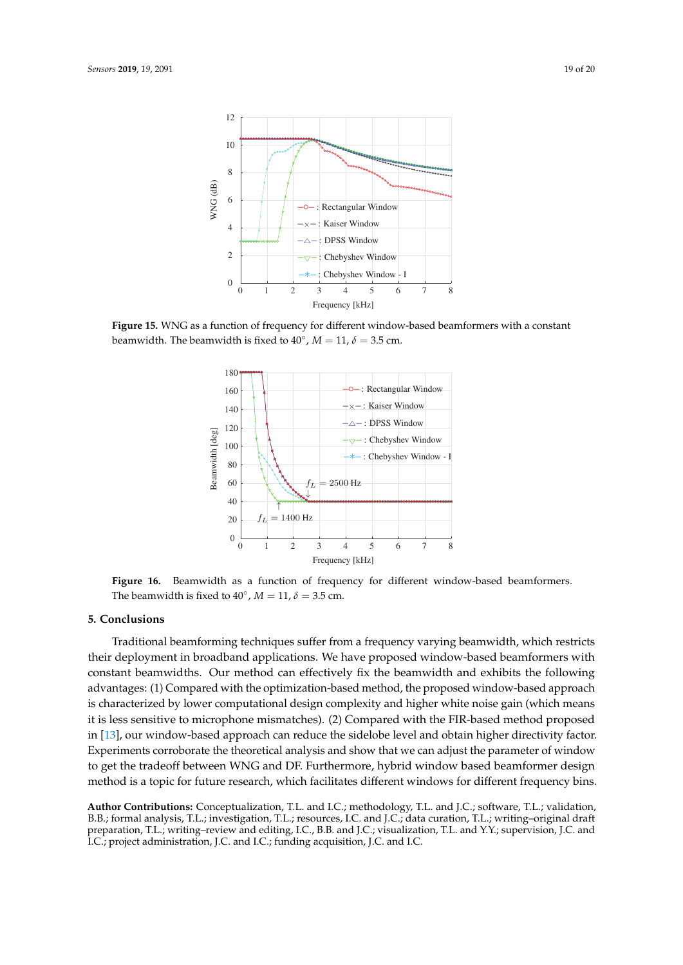<span id="page-18-1"></span>

<span id="page-18-2"></span>**Figure 15.** WNG as a function of frequency for different window-based beamformers with a constant beamwidth. The beamwidth is fixed to  $40^{\circ}$ ,  $M = 11$ ,  $\delta = 3.5$  cm.



**Figure 16.** Beamwidth as a function of frequency for different window-based beamformers. The beamwidth is fixed to  $40^{\circ}$ ,  $M = 11$ ,  $\delta = 3.5$  cm.

# <span id="page-18-0"></span>**5. Conclusions**

Traditional beamforming techniques suffer from a frequency varying beamwidth, which restricts their deployment in broadband applications. We have proposed window-based beamformers with constant beamwidths. Our method can effectively fix the beamwidth and exhibits the following advantages: (1) Compared with the optimization-based method, the proposed window-based approach is characterized by lower computational design complexity and higher white noise gain (which means it is less sensitive to microphone mismatches). (2) Compared with the FIR-based method proposed in [\[13\]](#page-19-4), our window-based approach can reduce the sidelobe level and obtain higher directivity factor. Experiments corroborate the theoretical analysis and show that we can adjust the parameter of window to get the tradeoff between WNG and DF. Furthermore, hybrid window based beamformer design method is a topic for future research, which facilitates different windows for different frequency bins.

**Author Contributions:** Conceptualization, T.L. and I.C.; methodology, T.L. and J.C.; software, T.L.; validation, B.B.; formal analysis, T.L.; investigation, T.L.; resources, I.C. and J.C.; data curation, T.L.; writing–original draft preparation, T.L.; writing–review and editing, I.C., B.B. and J.C.; visualization, T.L. and Y.Y.; supervision, J.C. and I.C.; project administration, J.C. and I.C.; funding acquisition, J.C. and I.C.